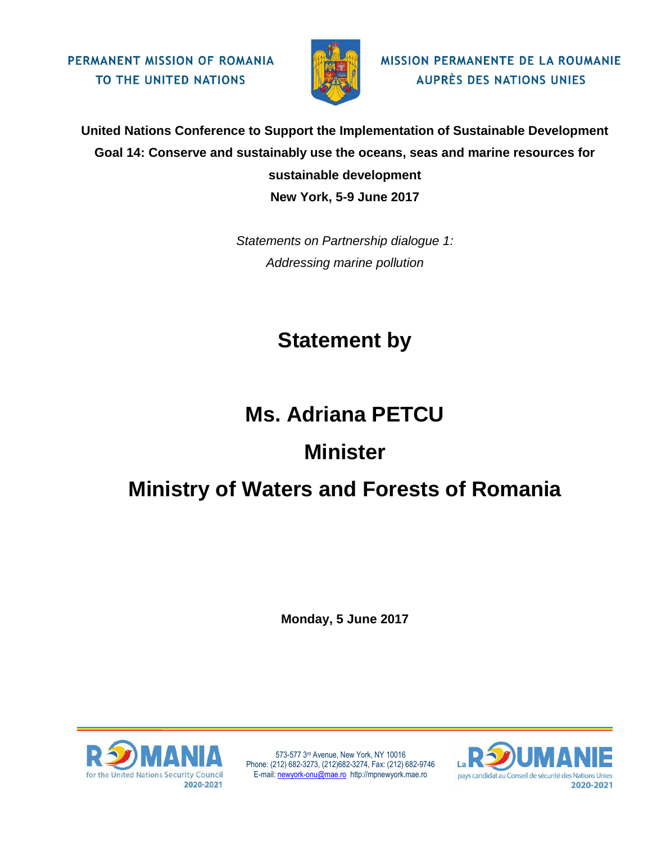PERMANENT MISSION OF ROMANIA TO THE UNITED NATIONS



**MISSION PERMANENTE DE LA ROUMANIE AUPRÈS DES NATIONS UNIES** 

**United Nations Conference to Support the Implementation of Sustainable Development Goal 14: Conserve and sustainably use the oceans, seas and marine resources for sustainable development New York, 5-9 June 2017**

> *Statements on Partnership dialogue 1: Addressing marine pollution*

## **Statement by**

## **Ms. Adriana PETCU**

## **Minister**

## **Ministry of Waters and Forests of Romania**

**Monday, 5 June 2017**



573-577 3rd Avenue, New York, NY 10016 Phone: (212) 682-3273, (212)682-3274, Fax: (212) 682-9746 E-mail[: newyork-onu@mae.ro](mailto:newyork-onu@mae.ro) http://mpnewyork.mae.ro

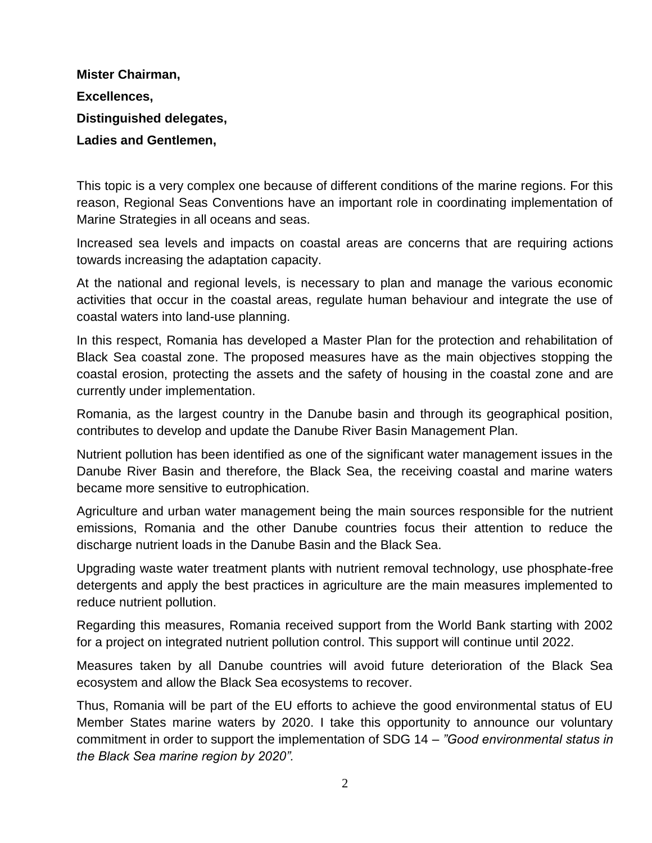**Mister Chairman, Excellences, Distinguished delegates, Ladies and Gentlemen,**

This topic is a very complex one because of different conditions of the marine regions. For this reason, Regional Seas Conventions have an important role in coordinating implementation of Marine Strategies in all oceans and seas.

Increased sea levels and impacts on coastal areas are concerns that are requiring actions towards increasing the adaptation capacity.

At the national and regional levels, is necessary to plan and manage the various economic activities that occur in the coastal areas, regulate human behaviour and integrate the use of coastal waters into land-use planning.

In this respect, Romania has developed a Master Plan for the protection and rehabilitation of Black Sea coastal zone. The proposed measures have as the main objectives stopping the coastal erosion, protecting the assets and the safety of housing in the coastal zone and are currently under implementation.

Romania, as the largest country in the Danube basin and through its geographical position, contributes to develop and update the Danube River Basin Management Plan.

Nutrient pollution has been identified as one of the significant water management issues in the Danube River Basin and therefore, the Black Sea, the receiving coastal and marine waters became more sensitive to eutrophication.

Agriculture and urban water management being the main sources responsible for the nutrient emissions, Romania and the other Danube countries focus their attention to reduce the discharge nutrient loads in the Danube Basin and the Black Sea.

Upgrading waste water treatment plants with nutrient removal technology, use phosphate-free detergents and apply the best practices in agriculture are the main measures implemented to reduce nutrient pollution.

Regarding this measures, Romania received support from the World Bank starting with 2002 for a project on integrated nutrient pollution control. This support will continue until 2022.

Measures taken by all Danube countries will avoid future deterioration of the Black Sea ecosystem and allow the Black Sea ecosystems to recover.

Thus, Romania will be part of the EU efforts to achieve the good environmental status of EU Member States marine waters by 2020. I take this opportunity to announce our voluntary commitment in order to support the implementation of SDG 14 – *"Good environmental status in the Black Sea marine region by 2020".*